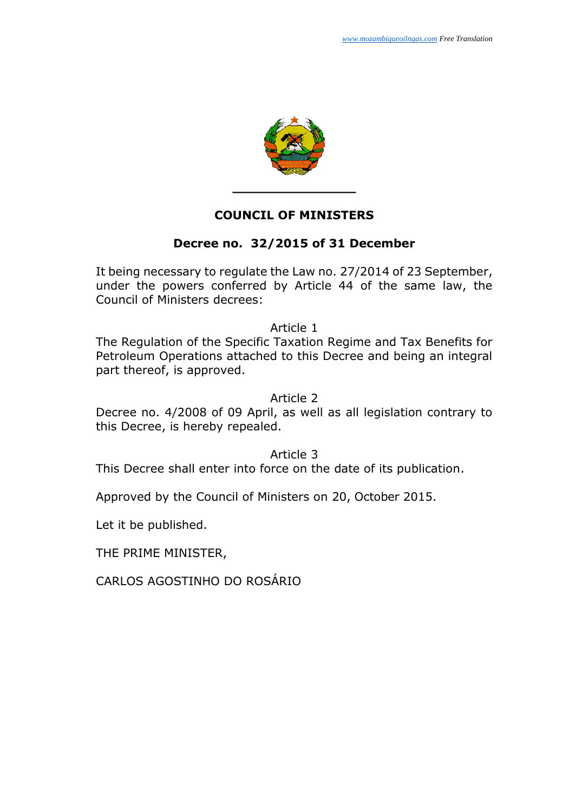

### **COUNCIL OF MINISTERS**

## **Decree no. 32/2015 of 31 December**

It being necessary to regulate the Law no. 27/2014 of 23 September, under the powers conferred by Article 44 of the same law, the Council of Ministers decrees:

Article 1

The Regulation of the Specific Taxation Regime and Tax Benefits for Petroleum Operations attached to this Decree and being an integral part thereof, is approved.

#### Article 2

Decree no. 4/2008 of 09 April, as well as all legislation contrary to this Decree, is hereby repealed.

#### Article 3

This Decree shall enter into force on the date of its publication.

Approved by the Council of Ministers on 20, October 2015.

Let it be published.

THE PRIME MINISTER,

CARLOS AGOSTINHO DO ROSÁRIO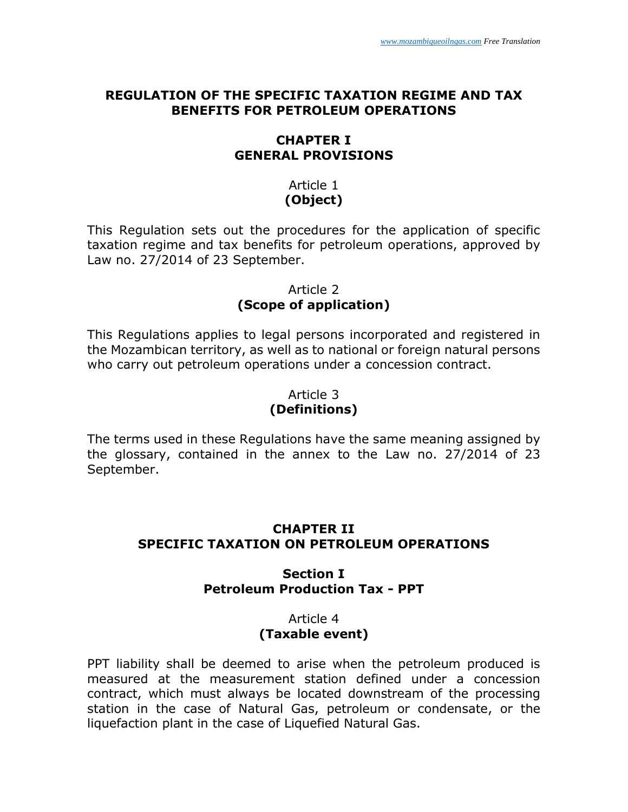### **REGULATION OF THE SPECIFIC TAXATION REGIME AND TAX BENEFITS FOR PETROLEUM OPERATIONS**

## **CHAPTER I GENERAL PROVISIONS**

## Article 1 **(Object)**

This Regulation sets out the procedures for the application of specific taxation regime and tax benefits for petroleum operations, approved by Law no. 27/2014 of 23 September.

### Article 2 **(Scope of application)**

This Regulations applies to legal persons incorporated and registered in the Mozambican territory, as well as to national or foreign natural persons who carry out petroleum operations under a concession contract.

## Article 3 **(Definitions)**

The terms used in these Regulations have the same meaning assigned by the glossary, contained in the annex to the Law no. 27/2014 of 23 September.

# **CHAPTER II SPECIFIC TAXATION ON PETROLEUM OPERATIONS**

# **Section I Petroleum Production Tax - PPT**

#### Article 4 **(Taxable event)**

PPT liability shall be deemed to arise when the petroleum produced is measured at the measurement station defined under a concession contract, which must always be located downstream of the processing station in the case of Natural Gas, petroleum or condensate, or the liquefaction plant in the case of Liquefied Natural Gas.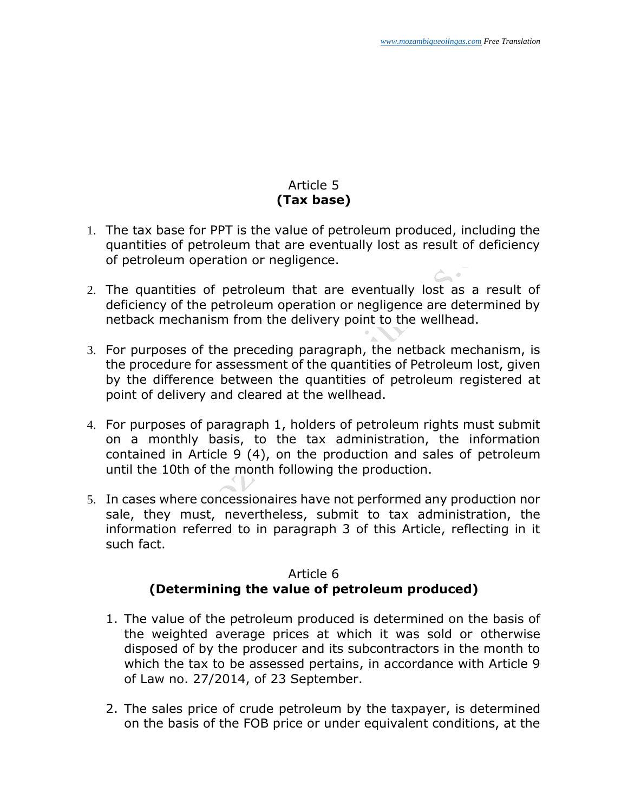$\subset$   $\cdot$ 

# Article 5 **(Tax base)**

- 1. The tax base for PPT is the value of petroleum produced, including the quantities of petroleum that are eventually lost as result of deficiency of petroleum operation or negligence.
- 2. The quantities of petroleum that are eventually lost as a result of deficiency of the petroleum operation or negligence are determined by netback mechanism from the delivery point to the wellhead.
- 3. For purposes of the preceding paragraph, the netback mechanism, is the procedure for assessment of the quantities of Petroleum lost, given by the difference between the quantities of petroleum registered at point of delivery and cleared at the wellhead.
- 4. For purposes of paragraph 1, holders of petroleum rights must submit on a monthly basis, to the tax administration, the information contained in Article 9 (4), on the production and sales of petroleum until the 10th of the month following the production.
- 5. In cases where concessionaires have not performed any production nor sale, they must, nevertheless, submit to tax administration, the information referred to in paragraph 3 of this Article, reflecting in it such fact.

# Article 6 **(Determining the value of petroleum produced)**

- 1. The value of the petroleum produced is determined on the basis of the weighted average prices at which it was sold or otherwise disposed of by the producer and its subcontractors in the month to which the tax to be assessed pertains, in accordance with Article 9 of Law no. 27/2014, of 23 September.
- 2. The sales price of crude petroleum by the taxpayer, is determined on the basis of the FOB price or under equivalent conditions, at the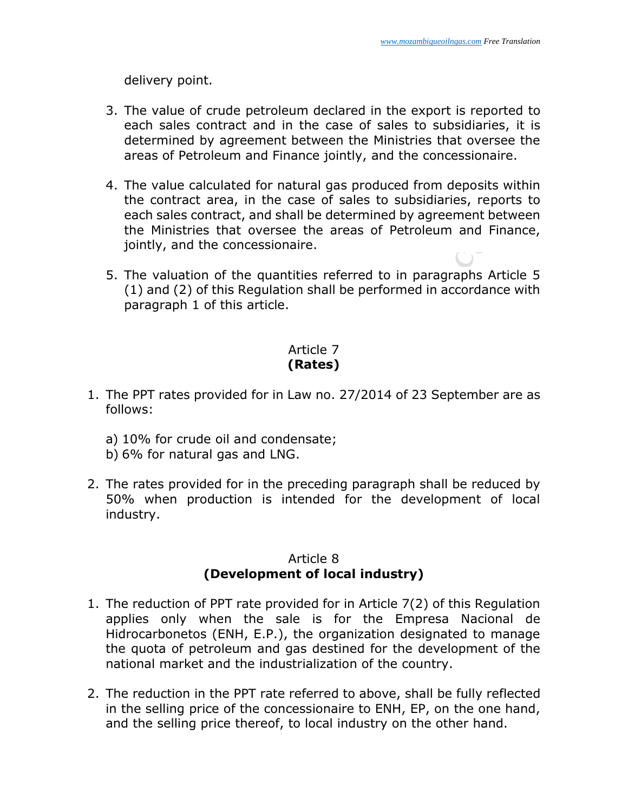delivery point.

- 3. The value of crude petroleum declared in the export is reported to each sales contract and in the case of sales to subsidiaries, it is determined by agreement between the Ministries that oversee the areas of Petroleum and Finance jointly, and the concessionaire.
- 4. The value calculated for natural gas produced from deposits within the contract area, in the case of sales to subsidiaries, reports to each sales contract, and shall be determined by agreement between the Ministries that oversee the areas of Petroleum and Finance, jointly, and the concessionaire.
- 5. The valuation of the quantities referred to in paragraphs Article 5 (1) and (2) of this Regulation shall be performed in accordance with paragraph 1 of this article.

# Article 7 **(Rates)**

- 1. The PPT rates provided for in Law no. 27/2014 of 23 September are as follows:
	- a) 10% for crude oil and condensate;
	- b) 6% for natural gas and LNG.
- 2. The rates provided for in the preceding paragraph shall be reduced by 50% when production is intended for the development of local industry.

## Article 8 **(Development of local industry)**

- 1. The reduction of PPT rate provided for in Article 7(2) of this Regulation applies only when the sale is for the Empresa Nacional de Hidrocarbonetos (ENH, E.P.), the organization designated to manage the quota of petroleum and gas destined for the development of the national market and the industrialization of the country.
- 2. The reduction in the PPT rate referred to above, shall be fully reflected in the selling price of the concessionaire to ENH, EP, on the one hand, and the selling price thereof, to local industry on the other hand.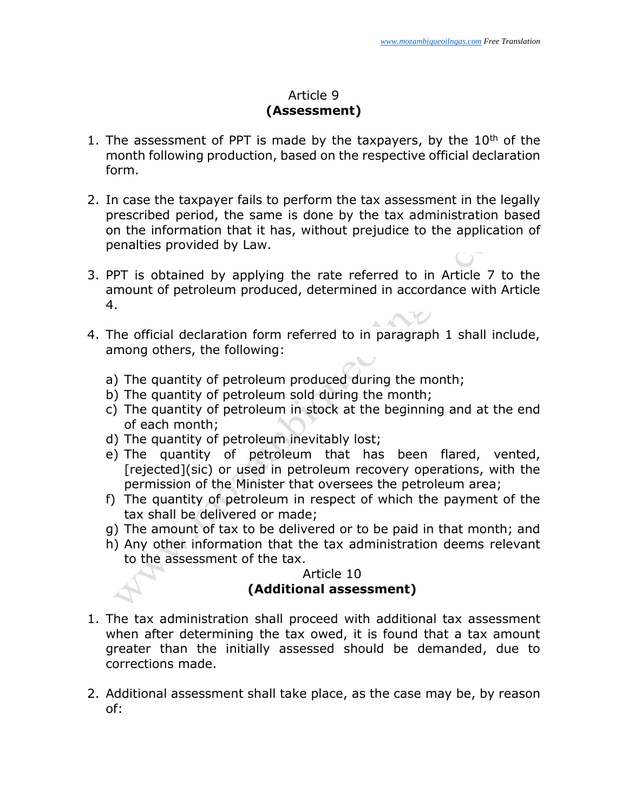### Article 9 **(Assessment)**

- 1. The assessment of PPT is made by the taxpayers, by the  $10<sup>th</sup>$  of the month following production, based on the respective official declaration form.
- 2. In case the taxpayer fails to perform the tax assessment in the legally prescribed period, the same is done by the tax administration based on the information that it has, without prejudice to the application of penalties provided by Law.
- 3. PPT is obtained by applying the rate referred to in Article 7 to the amount of petroleum produced, determined in accordance with Article 4.
- 4. The official declaration form referred to in paragraph 1 shall include, among others, the following:
	- a) The quantity of petroleum produced during the month;
	- b) The quantity of petroleum sold during the month;
	- c) The quantity of petroleum in stock at the beginning and at the end of each month;
	- d) The quantity of petroleum inevitably lost;
	- e) The quantity of petroleum that has been flared, vented, [rejected](sic) or used in petroleum recovery operations, with the permission of the Minister that oversees the petroleum area;
	- f) The quantity of petroleum in respect of which the payment of the tax shall be delivered or made;
	- g) The amount of tax to be delivered or to be paid in that month; and
	- h) Any other information that the tax administration deems relevant to the assessment of the tax.

# Article 10 **(Additional assessment)**

- 1. The tax administration shall proceed with additional tax assessment when after determining the tax owed, it is found that a tax amount greater than the initially assessed should be demanded, due to corrections made.
- 2. Additional assessment shall take place, as the case may be, by reason of: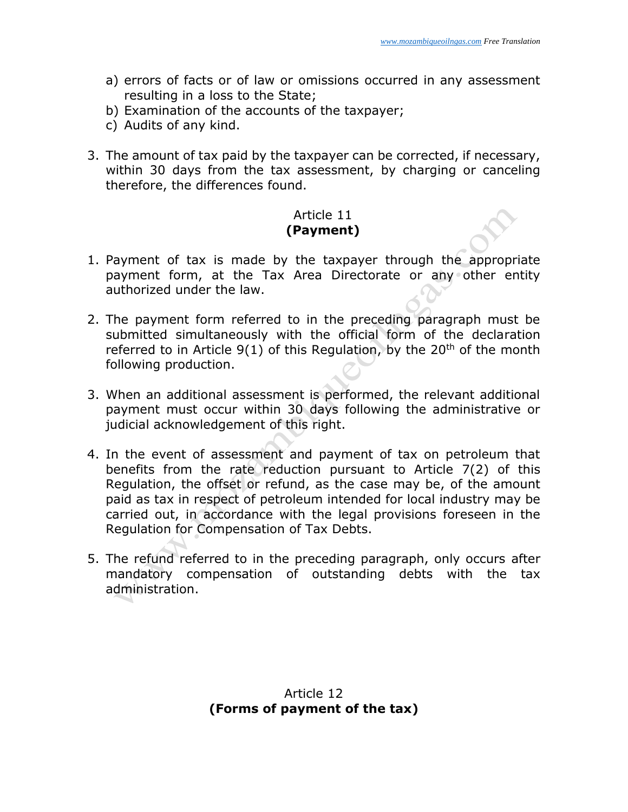- a) errors of facts or of law or omissions occurred in any assessment resulting in a loss to the State;
- b) Examination of the accounts of the taxpayer;
- c) Audits of any kind.
- 3. The amount of tax paid by the taxpayer can be corrected, if necessary, within 30 days from the tax assessment, by charging or canceling therefore, the differences found.

### Article 11 **(Payment)**

- 1. Payment of tax is made by the taxpayer through the appropriate payment form, at the Tax Area Directorate or any other entity authorized under the law.
- 2. The payment form referred to in the preceding paragraph must be submitted simultaneously with the official form of the declaration referred to in Article  $9(1)$  of this Regulation, by the  $20<sup>th</sup>$  of the month following production.
- 3. When an additional assessment is performed, the relevant additional payment must occur within 30 days following the administrative or judicial acknowledgement of this right.
- 4. In the event of assessment and payment of tax on petroleum that benefits from the rate reduction pursuant to Article 7(2) of this Regulation, the offset or refund, as the case may be, of the amount paid as tax in respect of petroleum intended for local industry may be carried out, in accordance with the legal provisions foreseen in the Regulation for Compensation of Tax Debts.
- 5. The refund referred to in the preceding paragraph, only occurs after mandatory compensation of outstanding debts with the tax administration.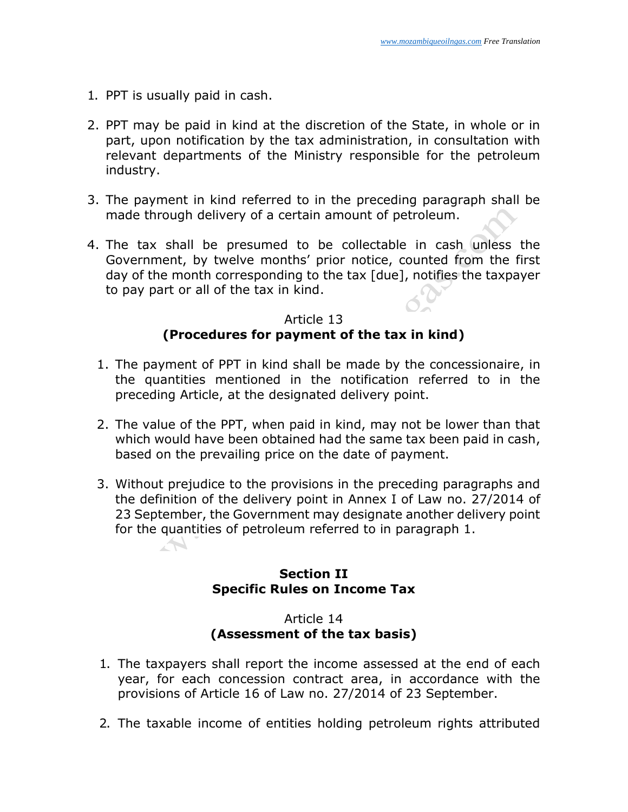- 1. PPT is usually paid in cash.
- 2. PPT may be paid in kind at the discretion of the State, in whole or in part, upon notification by the tax administration, in consultation with relevant departments of the Ministry responsible for the petroleum industry.
- 3. The payment in kind referred to in the preceding paragraph shall be made through delivery of a certain amount of petroleum.
- 4. The tax shall be presumed to be collectable in cash unless the Government, by twelve months' prior notice, counted from the first day of the month corresponding to the tax [due], notifies the taxpayer to pay part or all of the tax in kind.

#### Article 13 **(Procedures for payment of the tax in kind)**

- 1. The payment of PPT in kind shall be made by the concessionaire, in the quantities mentioned in the notification referred to in the preceding Article, at the designated delivery point.
- 2. The value of the PPT, when paid in kind, may not be lower than that which would have been obtained had the same tax been paid in cash, based on the prevailing price on the date of payment.
- 3. Without prejudice to the provisions in the preceding paragraphs and the definition of the delivery point in Annex I of Law no. 27/2014 of 23 September, the Government may designate another delivery point for the quantities of petroleum referred to in paragraph 1.

## **Section II Specific Rules on Income Tax**

#### Article 14 **(Assessment of the tax basis)**

- 1. The taxpayers shall report the income assessed at the end of each year, for each concession contract area, in accordance with the provisions of Article 16 of Law no. 27/2014 of 23 September.
- 2. The taxable income of entities holding petroleum rights attributed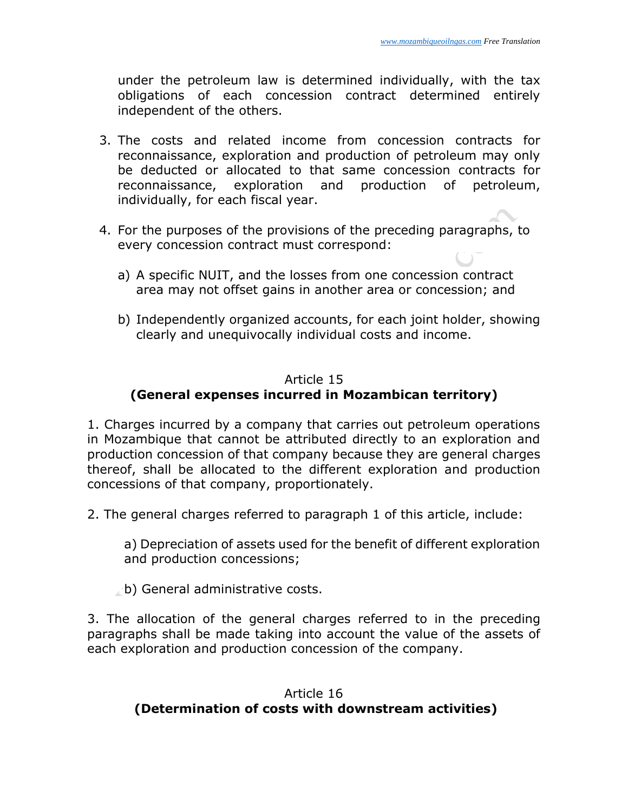under the petroleum law is determined individually, with the tax obligations of each concession contract determined entirely independent of the others.

- 3. The costs and related income from concession contracts for reconnaissance, exploration and production of petroleum may only be deducted or allocated to that same concession contracts for reconnaissance, exploration and production of petroleum, individually, for each fiscal year.
- 4. For the purposes of the provisions of the preceding paragraphs, to every concession contract must correspond:
	- a) A specific NUIT, and the losses from one concession contract area may not offset gains in another area or concession; and
	- b) Independently organized accounts, for each joint holder, showing clearly and unequivocally individual costs and income.

# Article 15

# **(General expenses incurred in Mozambican territory)**

1. Charges incurred by a company that carries out petroleum operations in Mozambique that cannot be attributed directly to an exploration and production concession of that company because they are general charges thereof, shall be allocated to the different exploration and production concessions of that company, proportionately.

2. The general charges referred to paragraph 1 of this article, include:

a) Depreciation of assets used for the benefit of different exploration and production concessions;

b) General administrative costs.

3. The allocation of the general charges referred to in the preceding paragraphs shall be made taking into account the value of the assets of each exploration and production concession of the company.

# Article 16 **(Determination of costs with downstream activities)**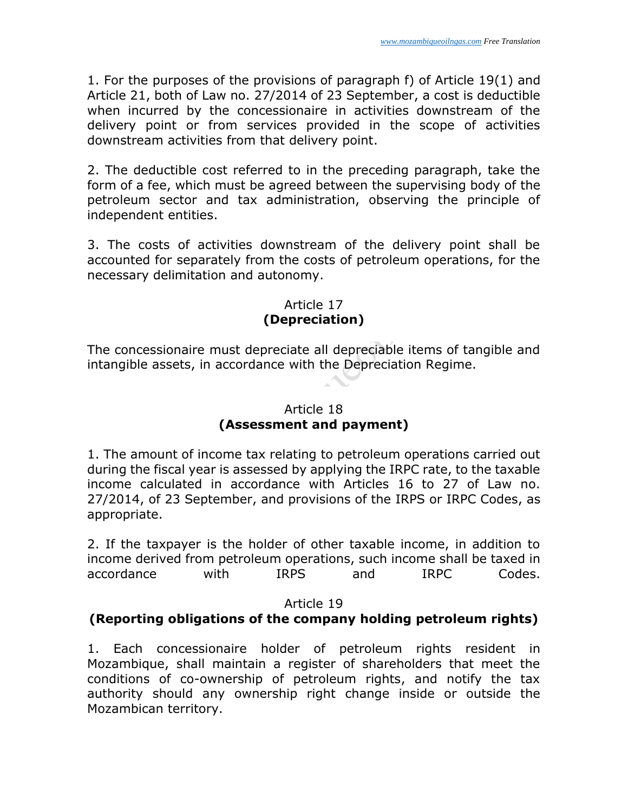1. For the purposes of the provisions of paragraph f) of Article 19(1) and Article 21, both of Law no. 27/2014 of 23 September, a cost is deductible when incurred by the concessionaire in activities downstream of the delivery point or from services provided in the scope of activities downstream activities from that delivery point.

2. The deductible cost referred to in the preceding paragraph, take the form of a fee, which must be agreed between the supervising body of the petroleum sector and tax administration, observing the principle of independent entities.

3. The costs of activities downstream of the delivery point shall be accounted for separately from the costs of petroleum operations, for the necessary delimitation and autonomy.

# Article 17 **(Depreciation)**

The concessionaire must depreciate all depreciable items of tangible and intangible assets, in accordance with the Depreciation Regime.

# Article 18 **(Assessment and payment)**

1. The amount of income tax relating to petroleum operations carried out during the fiscal year is assessed by applying the IRPC rate, to the taxable income calculated in accordance with Articles 16 to 27 of Law no. 27/2014, of 23 September, and provisions of the IRPS or IRPC Codes, as appropriate.

2. If the taxpayer is the holder of other taxable income, in addition to income derived from petroleum operations, such income shall be taxed in accordance with IRPS and IRPC Codes.

Article 19

# **(Reporting obligations of the company holding petroleum rights)**

1. Each concessionaire holder of petroleum rights resident in Mozambique, shall maintain a register of shareholders that meet the conditions of co-ownership of petroleum rights, and notify the tax authority should any ownership right change inside or outside the Mozambican territory.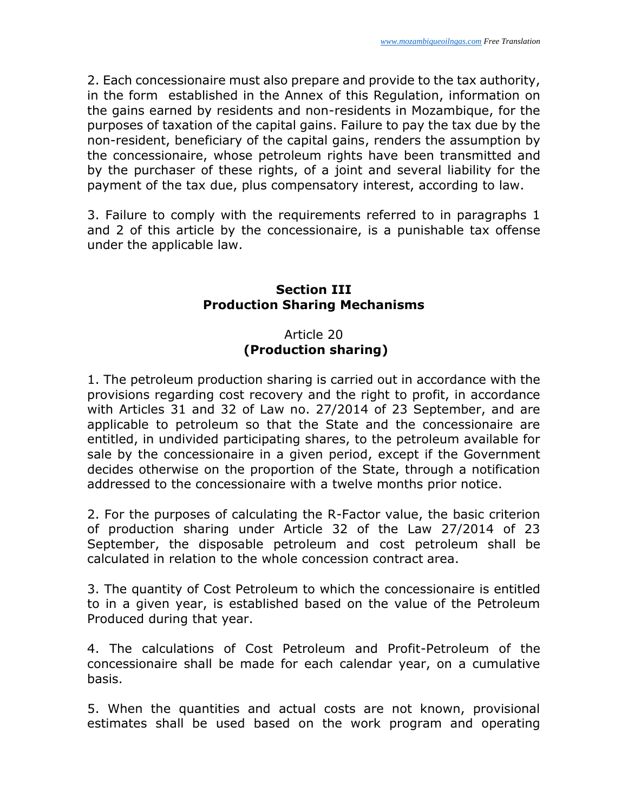2. Each concessionaire must also prepare and provide to the tax authority, in the form established in the Annex of this Regulation, information on the gains earned by residents and non-residents in Mozambique, for the purposes of taxation of the capital gains. Failure to pay the tax due by the non-resident, beneficiary of the capital gains, renders the assumption by the concessionaire, whose petroleum rights have been transmitted and by the purchaser of these rights, of a joint and several liability for the payment of the tax due, plus compensatory interest, according to law.

3. Failure to comply with the requirements referred to in paragraphs 1 and 2 of this article by the concessionaire, is a punishable tax offense under the applicable law.

# **Section III Production Sharing Mechanisms**

# Article 20 **(Production sharing)**

1. The petroleum production sharing is carried out in accordance with the provisions regarding cost recovery and the right to profit, in accordance with Articles 31 and 32 of Law no. 27/2014 of 23 September, and are applicable to petroleum so that the State and the concessionaire are entitled, in undivided participating shares, to the petroleum available for sale by the concessionaire in a given period, except if the Government decides otherwise on the proportion of the State, through a notification addressed to the concessionaire with a twelve months prior notice.

2. For the purposes of calculating the R-Factor value, the basic criterion of production sharing under Article 32 of the Law 27/2014 of 23 September, the disposable petroleum and cost petroleum shall be calculated in relation to the whole concession contract area.

3. The quantity of Cost Petroleum to which the concessionaire is entitled to in a given year, is established based on the value of the Petroleum Produced during that year.

4. The calculations of Cost Petroleum and Profit-Petroleum of the concessionaire shall be made for each calendar year, on a cumulative basis.

5. When the quantities and actual costs are not known, provisional estimates shall be used based on the work program and operating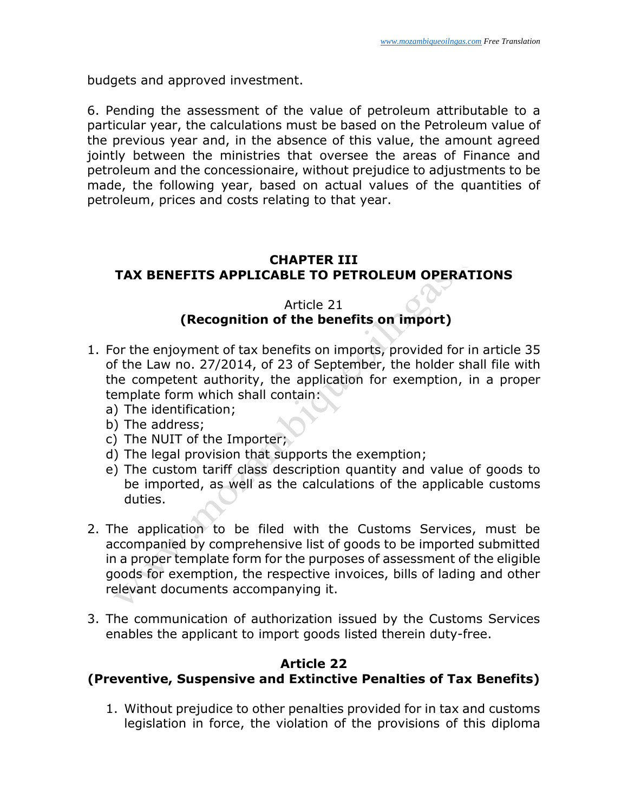budgets and approved investment.

6. Pending the assessment of the value of petroleum attributable to a particular year, the calculations must be based on the Petroleum value of the previous year and, in the absence of this value, the amount agreed jointly between the ministries that oversee the areas of Finance and petroleum and the concessionaire, without prejudice to adjustments to be made, the following year, based on actual values of the quantities of petroleum, prices and costs relating to that year.

## **CHAPTER III TAX BENEFITS APPLICABLE TO PETROLEUM OPERATIONS**

#### Article 21 **(Recognition of the benefits on import)**

- 1. For the enjoyment of tax benefits on imports, provided for in article 35 of the Law no. 27/2014, of 23 of September, the holder shall file with the competent authority, the application for exemption, in a proper template form which shall contain:
	- a) The identification;
	- b) The address;
	- c) The NUIT of the Importer;
	- d) The legal provision that supports the exemption;
	- e) The custom tariff class description quantity and value of goods to be imported, as well as the calculations of the applicable customs duties.
- 2. The application to be filed with the Customs Services, must be accompanied by comprehensive list of goods to be imported submitted in a proper template form for the purposes of assessment of the eligible goods for exemption, the respective invoices, bills of lading and other relevant documents accompanying it.
- 3. The communication of authorization issued by the Customs Services enables the applicant to import goods listed therein duty-free.

#### **Article 22 (Preventive, Suspensive and Extinctive Penalties of Tax Benefits)**

1. Without prejudice to other penalties provided for in tax and customs legislation in force, the violation of the provisions of this diploma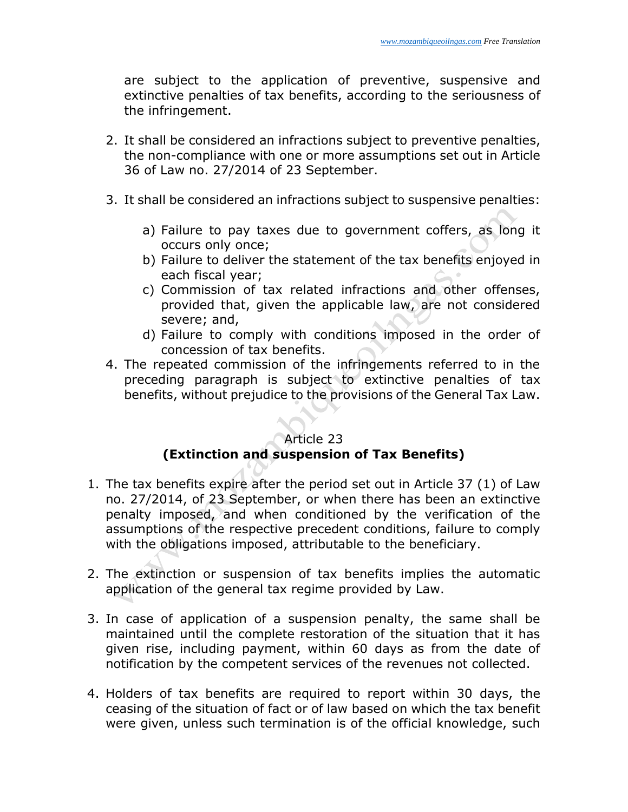are subject to the application of preventive, suspensive and extinctive penalties of tax benefits, according to the seriousness of the infringement.

- 2. It shall be considered an infractions subject to preventive penalties, the non-compliance with one or more assumptions set out in Article 36 of Law no. 27/2014 of 23 September.
- 3. It shall be considered an infractions subject to suspensive penalties:
	- a) Failure to pay taxes due to government coffers, as long it occurs only once;
	- b) Failure to deliver the statement of the tax benefits enjoyed in each fiscal year;
	- c) Commission of tax related infractions and other offenses, provided that, given the applicable law, are not considered severe; and,
	- d) Failure to comply with conditions imposed in the order of concession of tax benefits.
- 4. The repeated commission of the infringements referred to in the preceding paragraph is subject to extinctive penalties of tax benefits, without prejudice to the provisions of the General Tax Law.

### Article 23 **(Extinction and suspension of Tax Benefits)**

- 1. The tax benefits expire after the period set out in Article 37 (1) of Law no. 27/2014, of 23 September, or when there has been an extinctive penalty imposed, and when conditioned by the verification of the assumptions of the respective precedent conditions, failure to comply with the obligations imposed, attributable to the beneficiary.
- 2. The extinction or suspension of tax benefits implies the automatic application of the general tax regime provided by Law.
- 3. In case of application of a suspension penalty, the same shall be maintained until the complete restoration of the situation that it has given rise, including payment, within 60 days as from the date of notification by the competent services of the revenues not collected.
- 4. Holders of tax benefits are required to report within 30 days, the ceasing of the situation of fact or of law based on which the tax benefit were given, unless such termination is of the official knowledge, such